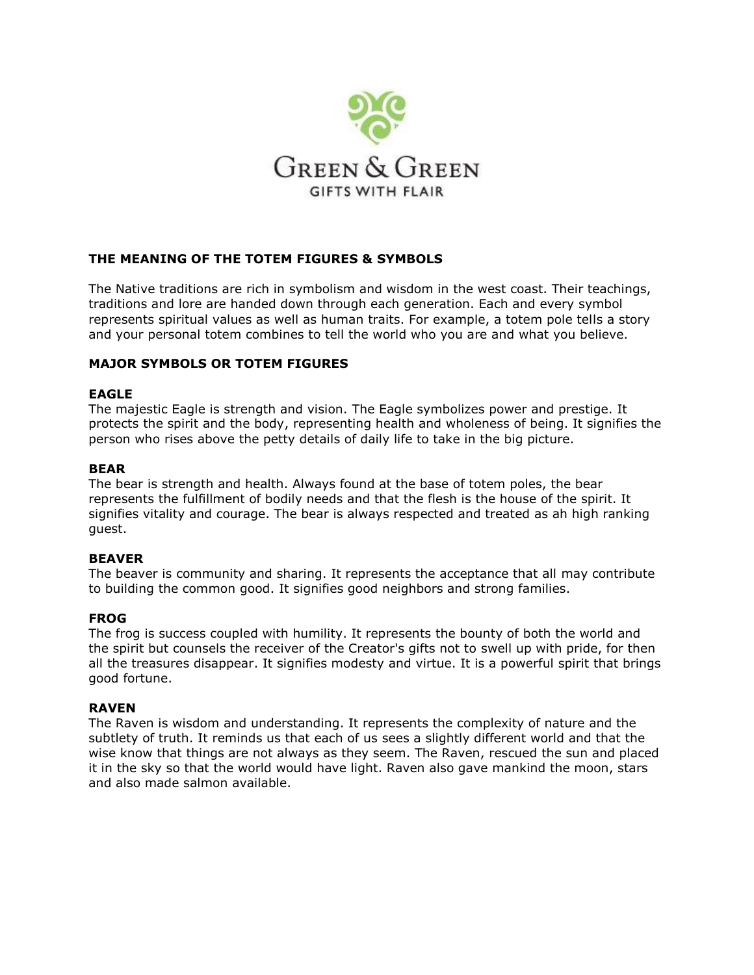

# **THE MEANING OF THE TOTEM FIGURES & SYMBOLS**

The Native traditions are rich in symbolism and wisdom in the west coast. Their teachings, traditions and lore are handed down through each generation. Each and every symbol represents spiritual values as well as human traits. For example, a totem pole tells a story and your personal totem combines to tell the world who you are and what you believe.

## **MAJOR SYMBOLS OR TOTEM FIGURES**

#### **EAGLE**

The majestic Eagle is strength and vision. The Eagle symbolizes power and prestige. It protects the spirit and the body, representing health and wholeness of being. It signifies the person who rises above the petty details of daily life to take in the big picture.

#### **BEAR**

The bear is strength and health. Always found at the base of totem poles, the bear represents the fulfillment of bodily needs and that the flesh is the house of the spirit. It signifies vitality and courage. The bear is always respected and treated as ah high ranking guest.

#### **BEAVER**

The beaver is community and sharing. It represents the acceptance that all may contribute to building the common good. It signifies good neighbors and strong families.

#### **FROG**

The frog is success coupled with humility. It represents the bounty of both the world and the spirit but counsels the receiver of the Creator's gifts not to swell up with pride, for then all the treasures disappear. It signifies modesty and virtue. It is a powerful spirit that brings good fortune.

#### **RAVEN**

The Raven is wisdom and understanding. It represents the complexity of nature and the subtlety of truth. It reminds us that each of us sees a slightly different world and that the wise know that things are not always as they seem. The Raven, rescued the sun and placed it in the sky so that the world would have light. Raven also gave mankind the moon, stars and also made salmon available.